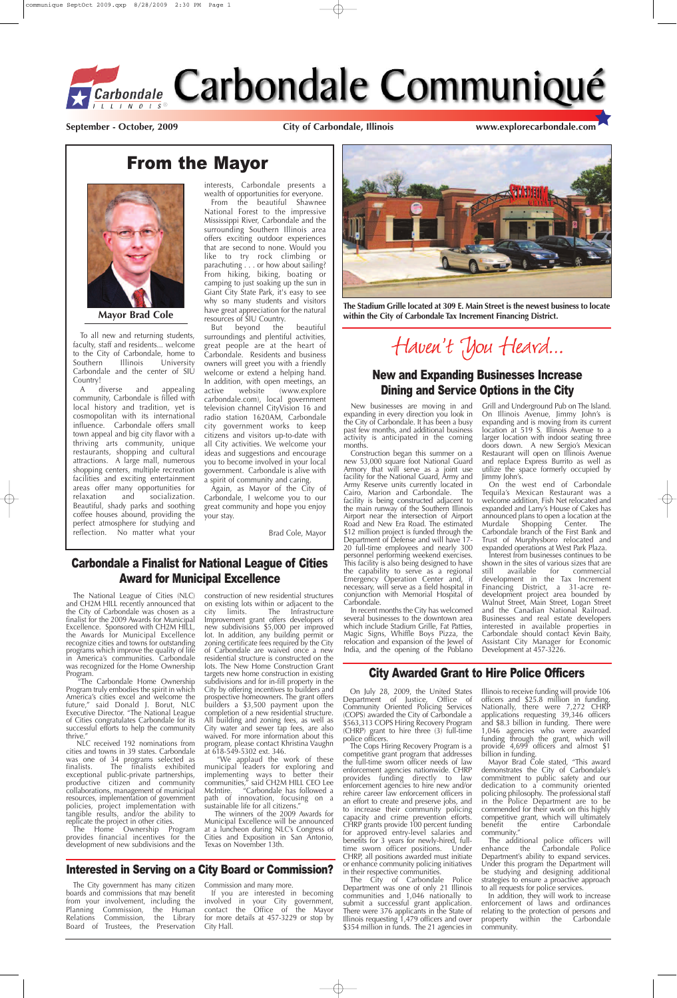## From the Mayor

To all new and returning students, faculty, staff and residents... welcome to the City of Carbondale, home to<br>Southern Illinois University Southern Illinois University Carbondale and the center of SIU Country!

A diverse and appealing community, Carbondale is filled with local history and tradition, yet is cosmopolitan with its international influence. Carbondale offers small town appeal and big city flavor with a thriving arts community, unique restaurants, shopping and cultural attractions. A large mall, numerous shopping centers, multiple recreation facilities and exciting entertainment areas offer many opportunities for relaxation and socialization. Beautiful, shady parks and soothing coffee houses abound, providing the perfect atmosphere for studying and reflection. No matter what your

interests, Carbondale presents a wealth of opportunities for everyone.

From the beautiful Shawnee National Forest to the impressive Mississippi River, Carbondale and the surrounding Southern Illinois area offers exciting outdoor experiences that are second to none. Would you like to try rock climbing or parachuting . . . or how about sailing? From hiking, biking, boating or camping to just soaking up the sun in Giant City State Park, it's easy to see why so many students and visitors have great appreciation for the natural resources of SIU Country.

> On July 28, 2009, the United States Illinois to receive funding will provide 106 Department of Justice, Office of Community Oriented Policing Services (COPS) awarded the City of Carbondale a \$563,313 COPS Hiring Recovery Program (CHRP) grant to hire three (3) full-time police officers. The Cops Hiring Recovery Program is a competitive grant program that addresses the full-time sworn officer needs of law enforcement agencies nationwide. CHRP provides funding directly to law enforcement agencies to hire new and/or rehire career law enforcement officers in an effort to create and preserve jobs, and to increase their community policing capacity and crime prevention efforts. CHRP grants provide 100 percent funding for approved entry-level salaries and benefits for 3 years for newly-hired, fulltime sworn officer positions. Under CHRP, all positions awarded must initiate or enhance community policing initiatives in their respective communities. The City of Carbondale Police Department was one of only 21 Illinois communities and 1,046 nationally to submit a successful grant application. There were 376 applicants in the State of Illinois requesting 1,479 officers and over \$354 million in funds. The 21 agencies in

But beyond the beautiful surroundings and plentiful activities, great people are at the heart of Carbondale. Residents and business owners will greet you with a friendly welcome or extend a helping hand. In addition, with open meetings, an active website (www.explore carbondale.com), local government television channel CityVision 16 and radio station 1620AM, Carbondale city government works to keep citizens and visitors up-to-date with all City activities. We welcome your ideas and suggestions and encourage you to become involved in your local government. Carbondale is alive with a spirit of community and caring.

Again, as Mayor of the City of Carbondale, I welcome you to our great community and hope you enjoy your stay.

Brad Cole, Mayor



**Mayor Brad Cole**

### Interested in Serving on a City Board or Commission?

The City government has many citizen boards and commissions that may benefit from your involvement, including the Planning Commission, the Human Relations Commission, the Library Board of Trustees, the Preservation

Commission and many more.

If you are interested in becoming involved in your City government, contact the Office of the Mayor for more details at 457-3229 or stop by City Hall.

## City Awarded Grant to Hire Police Officers

officers and \$25.8 million in funding. Nationally, there were 7,272 CHRP applications requesting 39,346 officers and \$8.3 billion in funding. There were 1,046 agencies who were awarded funding through the grant, which will provide 4,699 officers and almost \$1 billion in funding.

Mayor Brad Cole stated, "This award demonstrates the City of Carbondale's commitment to public safety and our dedication to a community oriented policing philosophy. The professional staff in the Police Department are to be commended for their work on this highly competitive grant, which will ultimately<br>benefit the entire Carbondale entire Carbondale community."

The additional police officers will enhance the Carbondale Police Department's ability to expand services. Under this program the Department will be studying and designing additional strategies to ensure a proactive approach to all requests for police services.

In addition, they will work to increase enforcement of laws and ordinances relating to the protection of persons and property within the Carbondale community.

## Carbondale a Finalist for National League of Cities Award for Municipal Excellence

The National League of Cities (NLC) and CH2M HILL recently announced that the City of Carbondale was chosen as a finalist for the 2009 Awards for Municipal Excellence. Sponsored with CH2M HILL, the Awards for Municipal Excellence recognize cities and towns for outstanding programs which improve the quality of life in America's communities. Carbondale was recognized for the Home Ownership Program.

"The Carbondale Home Ownership Program truly embodies the spirit in which America's cities excel and welcome the

future," said Donald J. Borut, NLC Executive Director. "The National League of Cities congratulates Carbondale for its successful efforts to help the community thrive."

NLC received 192 nominations from cities and towns in 39 states. Carbondale was one of 34 programs selected as<br>finalists. The finalists exhibited The finalists exhibited exceptional public-private partnerships, productive citizen and community collaborations, management of municipal resources, implementation of government policies, project implementation with tangible results, and/or the ability to replicate the project in other cities.

The Home Ownership Program provides financial incentives for the development of new subdivisions and the construction of new residential structures on existing lots within or adjacent to the<br>city limits. The Infrastructure city limits. The Infrastructure Improvement grant offers developers of new subdivisions \$5,000 per improved lot. In addition, any building permit or zoning certificate fees required by the City of Carbondale are waived once a new residential structure is constructed on the lots. The New Home Construction Grant targets new home construction in existing subdivisions and for in-fill property in the City by offering incentives to builders and prospective homeowners. The grant offers builders a  $$3,500$  payment upon the completion of a new residential structure. All building and zoning fees, as well as City water and sewer tap fees, are also waived. For more information about this program, please contact Khristina Vaughn at 618-549-5302 ext. 346. "We applaud the work of these municipal leaders for exploring and implementing ways to better their communities," said CH2M HILL CEO Lee McIntire. "Carbondale has followed a path of innovation, focusing on a sustainable life for all citizens. The winners of the 2009 Awards for Municipal Excellence will be announced at a luncheon during NLC's Congress of Cities and Exposition in San Antonio, Texas on November 13th.

**September - October, 2009 City of Carbondale, Illinois www.explorecarbondale.com**



**The Stadium Grille located at 309 E. Main Street is the newest business to locate within the City of Carbondale Tax Increment Financing District.**

Haven't You Heard...

## New and Expanding Businesses Increase Dining and Service Options in the City

New businesses are moving in and expanding in every direction you look in the City of Carbondale. It has been a busy past few months, and additional business activity is anticipated in the coming months.

Construction began this summer on a new 53,000 square foot National Guard Armory that will serve as a joint use facility for the National Guard, Army and Army Reserve units currently located in Cairo, Marion and Carbondale. The facility is being constructed adjacent to the main runway of the Southern Illinois Airport near the intersection of Airport Road and New Era Road. The estimated \$12 million project is funded through the Department of Defense and will have 17- 20 full-time employees and nearly 300 personnel performing weekend exercises. This facility is also being designed to have the capability to serve as a regional Emergency Operation Center and, if necessary, will serve as a field hospital in conjunction with Memorial Hospital of Carbondale.

In recent months the City has welcomed several businesses to the downtown area which include Stadium Grille, Fat Patties, Magic Signs, Whiffle Boys Pizza, the relocation and expansion of the Jewel of India, and the opening of the Poblano Grill and Underground Pub on The Island. On Illinois Avenue, Jimmy John's is expanding and is moving from its current location at 519 S. Illinois Avenue to a larger location with indoor seating three doors down. A new Sergio's Mexican Restaurant will open on Illinois Avenue and replace Express Burrito as well as utilize the space formerly occupied by Jimmy John's.

On the west end of Carbondale Tequila's Mexican Restaurant was a welcome addition, Fish Net relocated and expanded and Larry's House of Cakes has announced plans to open a location at the Murdale Shopping Center. The Carbondale branch of the First Bank and Trust of Murphysboro relocated and expanded operations at West Park Plaza.

Interest from businesses continues to be shown in the sites of various sizes that are<br>still available for commercial available for commercial development in the Tax Increment Financing District, a 31-acre redevelopment project area bounded by Walnut Street, Main Street, Logan Street and the Canadian National Railroad. Businesses and real estate developers interested in available properties in Carbondale should contact Kevin Baity, Assistant City Manager for Economic Development at 457-3226.

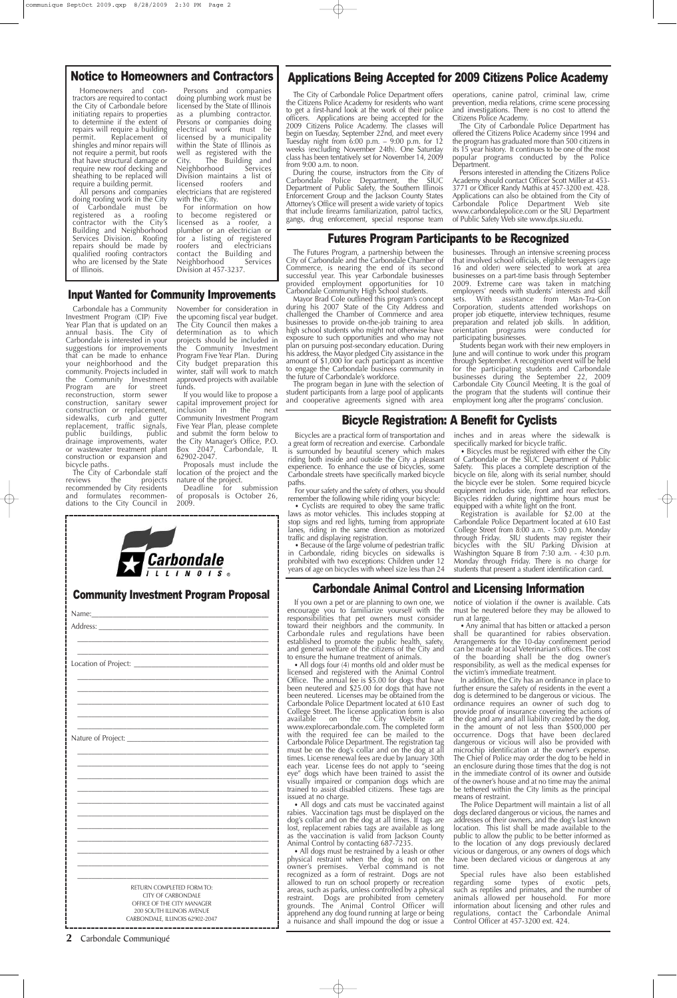#### **2** Carbondale Communiqué

### Notice to Homeowners and Contractors

Homeowners and contractors are required to contact the City of Carbondale before initiating repairs to properties to determine if the extent of repairs will require a building<br>permit. Replacement of Replacement of shingles and minor repairs will not require a permit, but roofs that have structural damage or require new roof decking and sheathing to be replaced will require a building permit.

All persons and companies doing roofing work in the City of Carbondale must be registered as a roofing contractor with the City's Building and Neighborhood Services Division. Roofing repairs should be made by qualified roofing contractors who are licensed by the State of Illinois.

Persons and companies doing plumbing work must be licensed by the State of Illinois as a plumbing contractor. Persons or companies doing electrical work must be licensed by a municipality within the State of Illinois as well as registered with the City. The Building and Neighborhood Division maintains a list of<br>licensed roofers and licensed roofers and electricians that are registered with the City.

The City of Carbondale staff<br>reviews the projects projects recommended by City residents and formulates recommendations to the City Council in

For information on how to become registered or licensed as a roofer, a plumber or an electrician or for a listing of registered roofers and electricians contact the Building and Neighborhood Division at 457-3237.

capital improvement project for<br>inclusion in the next inclusion in the next Community Investment Program Five Year Plan, please complete and submit the form below to the City Manager's Office, P.O.<br>Box 2047, Carbondale, IL Carbondale, IL 62902-2047.

#### Input Wanted for Community Improvements

Deadline for submission of proposals is October 26, 2009.

Carbondale has a Community Investment Program (CIP) Five Year Plan that is updated on an annual basis. The City of Carbondale is interested in your suggestions for improvements that can be made to enhance your neighborhood and the community. Projects included in the Community Investment<br>Program are for street Program are for street reconstruction, storm sewer construction, sanitary sewer construction or replacement, sidewalks, curb and gutter replacement, traffic signals,<br>public buildings, public buildings, drainage improvements, water or wastewater treatment plant construction or expansion and bicycle paths.

During the course, instructors from the City of<br>arbondale Police Department, the SIUC Carbondale Police Department, the Department of Public Safety, the Southern Illinois Enforcement Group and the Jackson County States Attorney's Office will present a wide variety of topics that include firearms familiarization, patrol tactics, gangs, drug enforcement, special response team

November for consideration in the upcoming fiscal year budget. The City Council then makes a determination as to which projects should be included in the Community Investment Program Five Year Plan. During City budget preparation this winter, staff will work to match approved projects with available funds.

> • Cyclists are required to obey the same traffic laws as motor vehicles. This includes stopping at stop signs and red lights, turning from appropriate lanes, riding in the same direction as motorized traffic and displaying registration.

Proposals must include the location of the project and the nature of the project.

The City of Carbondale Police Department offers the Citizens Police Academy for residents who want to get a first-hand look at the work of their police officers. Applications are being accepted for the 2009 Citizens Police Academy. The classes will begin on Tuesday, September 22nd, and meet every Tuesday night from 6:00 p.m. – 9:00 p.m. for 12 weeks (excluding November 24th). One Saturday class has been tentatively set for November 14, 2009

from 9:00 a.m. to noon.

• All dogs four (4) months old and older must be licensed and registered with the Animal Control Office. The annual fee is \$5.00 for dogs that have been neutered and \$25.00 for dogs that have not been neutered. Licenses may be obtained from the Carbondale Police Department located at 610 East College Street. The license application form is also<br>available on the City Website at available on the City Website at www.explorecarbondale.com. The completed form with the required fee can be mailed to the Carbondale Police Department. The registration tag must be on the dog's collar and on the dog at all times. License renewal fees are due by January 30th each year. License fees do not apply to "seeing eye" dogs which have been trained to assist the visually impaired or companion dogs which are trained to assist disabled citizens. These tags are issued at no charge. • All dogs and cats must be vaccinated against rabies. Vaccination tags must be displayed on the dog's collar and on the dog at all times. If tags are lost, replacement rabies tags are available as long as the vaccination is valid from Jackson County Animal Control by contacting 687-7235. • All dogs must be restrained by a leash or other physical restraint when the dog is not on the owner's premises. Verbal command is not recognized as a form of restraint. Dogs are not allowed to run on school property or recreation areas, such as parks, unless controlled by a physical restraint. Dogs are prohibited from cemetery grounds. The Animal Control Officer will apprehend any dog found running at large or being a nuisance and shall impound the dog or issue a

operations, canine patrol, criminal law, crime prevention, media relations, crime scene processing and investigations. There is no cost to attend the Citizens Police Academy.

The City of Carbondale Police Department has offered the Citizens Police Academy since 1994 and the program has graduated more than 500 citizens in its 15 year history. It continues to be one of the most popular programs conducted by the Police Department.

Persons interested in attending the Citizens Police Academy should contact Officer Scott Miller at 453- 3771 or Officer Randy Mathis at 457-3200 ext. 428. Applications can also be obtained from the City of Carbondale Police Department Web site www.carbondalepolice.com or the SIU Department of Public Safety Web site www.dps.siu.edu.

• Any animal that has bitten or attacked a person shall be quarantined for rabies observation. Arrangements for the 10-day confinement period can be made at local Veterinarian's offices. The cost of the boarding shall be the dog owner's responsibility, as well as the medical expenses for the victim's immediate treatment.

### Applications Being Accepted for 2009 Citizens Police Academy

### Bicycle Registration: A Benefit for Cyclists

Bicycles are a practical form of transportation and a great form of recreation and exercise. Carbondale is surrounded by beautiful scenery which makes riding both inside and outside the City a pleasant experience. To enhance the use of bicycles, some Carbondale streets have specifically marked bicycle paths.

For your safety and the safety of others, you should remember the following while riding your bicycle:

• Because of the large volume of pedestrian traffic in Carbondale, riding bicycles on sidewalks is prohibited with two exceptions: Children under 12 years of age on bicycles with wheel size less than 24 inches and in areas where the sidewalk is specifically marked for bicycle traffic.

• Bicycles must be registered with either the City of Carbondale or the SIUC Department of Public Safety. This places a complete description of the bicycle on file, along with its serial number, should the bicycle ever be stolen. Some required bicycle equipment includes side, front and rear reflectors. Bicycles ridden during nighttime hours must be equipped with a white light on the front.

Registration is available for \$2.00 at the Carbondale Police Department located at 610 East College Street from 8:00 a.m. - 5:00 p.m. Monday through Friday. SIU students may register their bicycles with the SIU Parking Division at Washington Square B from 7:30 a.m. - 4:30 p.m. Monday through Friday. There is no charge for students that present a student identification card.

If you own a pet or are planning to own one, we encourage you to familiarize yourself with the responsibilities that pet owners must consider toward their neighbors and the community. In Carbondale rules and regulations have been established to promote the public health, safety, and general welfare of the citizens of the City and to ensure the humane treatment of animals.

If you would like to propose a to engage the Carbondale business community in the future of Carbondale's workforce. The program began in June with the selection of student participants from a large pool of applicants and cooperative agreements signed with area

notice of violation if the owner is available. Cats must be neutered before they may be allowed to run at large.

In addition, the City has an ordinance in place to further ensure the safety of residents in the event a dog is determined to be dangerous or vicious. The ordinance requires an owner of such dog to provide proof of insurance covering the actions of the dog and any and all liability created by the dog, in the amount of not less than \$500,000 per occurrence. Dogs that have been declared dangerous or vicious will also be provided with microchip identification at the owner's expense. The Chief of Police may order the dog to be held in an enclosure during those times that the dog is not in the immediate control of its owner and outside of the owner's house and at no time may the animal be tethered within the City limits as the principal means of restraint. The Police Department will maintain a list of all dogs declared dangerous or vicious, the names and addresses of their owners, and the dog's last known location. This list shall be made available to the public to allow the public to be better informed as to the location of any dogs previously declared vicious or dangerous, or any owners of dogs which have been declared vicious or dangerous at any time. Special rules have also been established regarding some types of exotic pets, such as reptiles and primates, and the number of animals allowed per household. For more information about licensing and other rules and regulations, contact the Carbondale Animal Control Officer at 457-3200 ext. 424.

| Carbondale                                   |  |  |  |  |  |
|----------------------------------------------|--|--|--|--|--|
| <b>Community Investment Program Proposal</b> |  |  |  |  |  |
| Name: <b>Name</b>                            |  |  |  |  |  |
| Location of Project: ______________          |  |  |  |  |  |

\_\_\_\_\_\_\_\_\_\_\_\_\_\_\_\_\_\_\_\_\_\_\_\_\_\_\_\_\_\_\_\_\_\_\_\_\_\_\_\_\_\_\_\_\_\_\_\_\_\_\_\_\_\_

## Carbondale Animal Control and Licensing Information

| RETURN COMPLETED FORM TO:<br><b>CITY OF CARBONDALE</b><br>OFFICE OF THE CITY MANAGER<br>200 SOUTH ILLINOIS AVENUE<br>CARBONDALE, ILLINOIS 62902-2047 |  |
|------------------------------------------------------------------------------------------------------------------------------------------------------|--|

The Futures Program, a partnership between the City of Carbondale and the Carbondale Chamber of Commerce, is nearing the end of its second successful year. This year Carbondale businesses provided employment opportunities for 10 Carbondale Community High School students.

Mayor Brad Cole outlined this program's concept during his 2007 State of the City Address and challenged the Chamber of Commerce and area businesses to provide on-the-job training to area high school students who might not otherwise have exposure to such opportunities and who may not plan on pursuing post-secondary education. During his address, the Mayor pledged City assistance in the amount of \$1,000 for each participant as incentive

businesses. Through an intensive screening process that involved school officials, eligible teenagers (age 16 and older) were selected to work at area businesses on a part-time basis through September 2009. Extreme care was taken in matching employers' needs with students' interests and skill sets. With assistance from Man-Tra-Con Corporation, students attended workshops on proper job etiquette, interview techniques, resume preparation and related job skills. In addition, orientation programs were conducted for participating businesses.

Students began work with their new employers in June and will continue to work under this program through September. A recognition event will be held for the participating students and Carbondale businesses during the September 22, 2009 Carbondale City Council Meeting. It is the goal of the program that the students will continue their employment long after the programs' conclusion.

### Futures Program Participants to be Recognized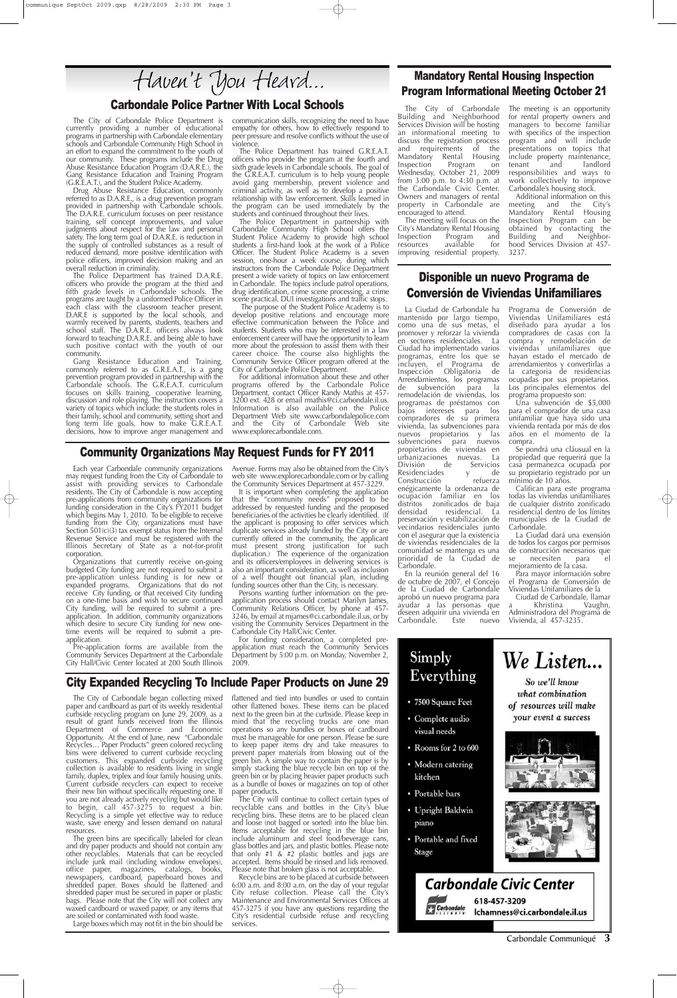Carbondale Communiqué **3**

### Community Organizations May Request Funds for FY 2011

Each year Carbondale community organizations may request funding from the City of Carbondale to assist with providing services to Carbondale residents. The City of Carbondale is now accepting pre-applications from community organizations for funding consideration in the City's FY2011 budget which begins May 1, 2010. To be eligible to receive funding from the City, organizations must have Section 501(c)(3) tax exempt status from the Internal Revenue Service and must be registered with the Illinois Secretary of State as a not-for-profit corporation.

Organizations that currently receive on-going budgeted City funding are not required to submit a pre-application unless funding is for new or expanded programs. Organizations that do not receive City funding, or that received City funding on a one-time basis and wish to secure continued City funding, will be required to submit a preapplication. In addition, community organizations which desire to secure City funding for new onetime events will be required to submit a pre application.

Persons wanting further information on the preapplication process should contact Marilyn James, Community Relations Officer, by phone at 457- 3246, by email at mjames@ci.carbondale.il.us, or by visiting the Community Services Department in the Carbondale City Hall/Civic Center.

Pre-application forms are available from the Community Services Department at the Carbondale City Hall/Civic Center located at 200 South Illinois

For funding consideration, a completed preapplication must reach the Community Services Department by 5:00 p.m. on Monday, November 2, 2009.

Avenue. Forms may also be obtained from the City's web site www.explorecarbondale.com or by calling the Community Services Department at 457-3229.

It is important when completing the application that the "community needs" proposed to be addressed by requested funding and the proposed beneficiaries of the activities be clearly identified. (If the applicant is proposing to offer services which duplicate services already funded by the City or are currently offered in the community, the applicant must present strong justification for such duplication.) The experience of the organization and its officers/employees in delivering services is also an important consideration, as well as inclusion of a well thought out financial plan, including funding sources other than the City, is necessary.

### Carbondale Police Partner With Local Schools

The City will continue to collect certain types of recyclable cans and bottles in the City's blue recycling bins. These items are to be placed clean and loose (not bagged or sorted) into the blue bin. Items acceptable for recycling in the blue bin include aluminum and steel food/beverage cans, glass bottles and jars, and plastic bottles. Please note that only #1 & #2 plastic bottles and jugs are accepted. Items should be rinsed and lids removed. Please note that broken glass is not acceptable.

Recycle bins are to be placed at curbside between 6:00 a.m. and 8:00 a.m. on the day of your regular City refuse collection. Please  $\operatorname{call}'$  the City's Maintenance and Environmental Services Offices at 457-3275 if you have any questions regarding the City's residential curbside refuse and recycling services.

- 7500 Square Feet
- Complete audio visual needs
- Rooms for 2 to 600
- Modern catering kitchen
- Portable bars
- Upright Baldwin piano
- Portable and fixed Stage







# **Carbondale Civic Center**



618-457-3209 Ichamness@ci.carbondale.il.us

paper and cardboard as part of its weekly residential curbside recycling program on June 29, 2009, as a result of grant funds received from the Illinois Department of Commerce and Economic Opportunity. At the end of June, new "Carbondale Recycles… Paper Products" green colored recycling bins were delivered to current curbside recycling customers. This expanded curbside recycling collection is available to residents living in single family, duplex, triplex and four family housing units. Current curbside recyclers can expect to receive their new bin without specifically requesting one. If you are not already actively recycling but would like to begin, call 457-3275 to request a bin. Recycling is a simple yet effective way to reduce waste, save energy and lessen demand on natural resources.

Gang Resistance Education and Training, commonly referred to as G.R.E.A.T., is a gang prevention program provided in partnership with the Carbondale schools. The G.R.E.A.T. curriculum focuses on skills training, cooperative learning, discussion and role playing. The instruction covers a variety of topics which include: the students roles in their family, school and community, setting short and long term life goals, how to make G.R.E.A.T. decisions, how to improve anger management and

The City of Carbondale began collecting mixed flattened and tied into bundles or used to contain other flattened boxes. These items can be placed next to the green bin at the curbside. Please keep in mind that the recycling trucks are one man operations so any bundles or boxes of cardboard must be manageable for one person. Please be sure to keep paper items dry and take measures to prevent paper materials from blowing out of the green bin. A simple way to contain the paper is by simply stacking the blue recycle bin on top of the green bin or by placing heavier paper products such as a bundle of boxes or magazines on top of other paper products.

The green bins are specifically labeled for clean and dry paper products and should not contain any other recyclables. Materials that can be recycled include junk mail (including window envelopes), office paper, magazines, catalogs, books, newspapers, cardboard, paperboard boxes and shredded paper. Boxes should be flattened and shredded paper must be secured in paper or plastic bags. Please note that the City will not collect any waxed cardboard or waxed paper, or any items that are soiled or contaminated with food waste.

Large boxes which may not fit in the bin should be

The Police Department in partnership with Carbondale Community High School offers the Student Police Academy to provide high school students a first-hand look at the work of a Police Officer. The Student Police Academy is a seven session, one-hour a week course, during which instructors from the Carbondale Police Department present a wide variety of topics on law enforcement in Carbondale. The topics include patrol operations, drug identification, crime scene processing, a crime scene practical, DUI investigations and traffic stops. The purpose of the Student Police Academy is to

develop positive relations and encourage more effective communication between the Police and students. Students who may be interested in a law enforcement career will have the opportunity to learn more about the profession to assist them with their career choice. The course also highlights the Community Service Officer program offered at the City of Carbondale Police Department.

The City of Carbondale Police Department is currently providing a number of educational programs in partnership with Carbondale elementary schools and Carbondale Community High School in an effort to expand the commitment to the youth of our community. These programs include the Drug Abuse Resistance Education Program (D.A.R.E.), the Gang Resistance Education and Training Program (G.R.E.A.T.), and the Student Police Academy.

> En la reunión general del 16 de octubre de 2007, el Concejo de la Ciudad de Carbondale aprobó un nuevo programa para ayudar a las personas que deseen adquirir una vivienda en<br>Carbondale. Este nuevo Carbondale.

Drug Abuse Resistance Education, commonly referred to as D.A.R.E., is a drug prevention program provided in partnership with Carbondale schools. The D.A.R.E. curriculum focuses on peer resistance training, self concept improvements, and value judgments about respect for the law and personal safety. The long term goal of D.A.R.E. is reduction in the supply of controlled substances as a result of reduced demand, more positive identification with police officers, improved decision making and an overall reduction in criminality.

> Ciudad de Carbondale, llamar<br>Khristina Vaughn, a Khristina Vaughn, Administradora del Programa de Vivienda, al 457-3235.



The Police Department has trained D.A.R.E. officers who provide the program at the third and fifth grade levels in Carbondale schools. The programs are taught by a uniformed Police Officer in each class with the classroom teacher present. D.AR.E is supported by the local schools, and warmly received by parents, students, teachers and school staff. The D.A.R.E. officers always look forward to teaching D.A.R.E. and being able to have such positive contact with the youth of our community.

communication skills, recognizing the need to have empathy for others, how to effectively respond to peer pressure and resolve conflicts without the use of violence.

The Police Department has trained G.R.E.A.T. officers who provide the program at the fourth and sixth grade levels in Carbondale schools. The goal of the G.R.E.A.T. curriculum is to help young people avoid gang membership, prevent violence and criminal activity, as well as to develop a positive relationship with law enforcement. Skills learned in the program can be used immediately by the students and continued throughout their lives.

For additional information about these and other programs offered by the Carbondale Police Department, contact Officer Randy Mathis at 457- 3200 ext. 428 or email rmathis@ci.carbondale.il.us. Information is also available on the Police Department Web site www.carbondalepolice.com and the City of Carbondale Web site www.explorecarbondale.com.

City Expanded Recycling To Include Paper Products on June 29

## Mandatory Rental Housing Inspection Program Informational Meeting October 21

The City of Carbondale Building and Neighborhood Services Division will be hosting an informational meeting to discuss the registration process and requirements of the Mandatory Rental Housing<br>Inspection Program on Program on Wednesday, October 21, 2009 from  $3:00^{6}$  p.m. to  $4:30^{6}$  p.m. at the Carbondale Civic Center. Owners and managers of rental property in Carbondale are encouraged to attend.

The meeting will focus on the City's Mandatory Rental Housing Inspection Program<br>resources available resources available for improving residential property.

The meeting is an opportunity for rental property owners and managers to become familiar with specifics of the inspection program and will include presentations on topics that include property maintenance, tenant and landlord responsibilities and ways to work collectively to improve Carbondale's housing stock.

Additional information on this meeting and the City's Mandatory Rental Housing Inspection Program can be obtained by contacting the Building and Neighborhood Services Division at 457- 3237.

## Disponible un nuevo Programa de Conversión de Viviendas Unifamiliares

La Ciudad de Carbondale ha mantenido por largo tiempo, como una de sus metas, el promover y reforzar la vivienda en sectores residenciales. La Ciudad ha implementado varios programas, entre los que se incluyen, el Programa de Inspección Obligatoria de Arrendamientos, los programas<br>de subvención para la de subvención para remodelación de viviendas, los programas de préstamos con bajos intereses para los compradores de su primera vivienda, las subvenciones para nuevos propietarios y las subvenciones para nuevos propietarios de viviendas en urbanizaciones nuevas. La<br>División de Servicios Servicios Residenciades y de<br>Construcción refuerza Construcción enégicamente la ordenanza de ocupación familiar en los distritos zonificados de baja densidad residencial. La preservación y estabilización de vecindarios residenciales junto con el asegurar que la existencia de viviendas residenciales de la comunidad se mantenga es una prioridad de la Ciudad de Carbondale.

Programa de Conversión de Viviendas Unifamiliares está diseñado para ayudar a los compradores de casas con la compra y remodelación de viviendas unifamiliares que hayan estado el mercado de arrendamientos y convertirlas a la categoria de residencias ocupadas por sus propietarios. Los principales elementos del programa propuesto son:

Una subvención de \$5,000 para el comprador de una casa unifamiliar que haya sido una vivienda rentada por más de dos años en el momento de la compra.

Se pondrá una cláusual en la propiedad que requerirá que la casa permanezca ocupada por su propietario registrado por un mínimo de 10 años.

Califican para este programa todas las viviendas unifamiliares de cualquier distrito zonificado residencial dentro de los límites municipales de la Ciudad de Carbondale.

La Ciudad dará una exensión de todos los cargos por permisos de construcción necesarios que se necesiten para mejoramiento de la casa.

Para mayor información sobre el Programa de Conversión de Viviendas Unifamiliares de la

## Haven't You Heard...